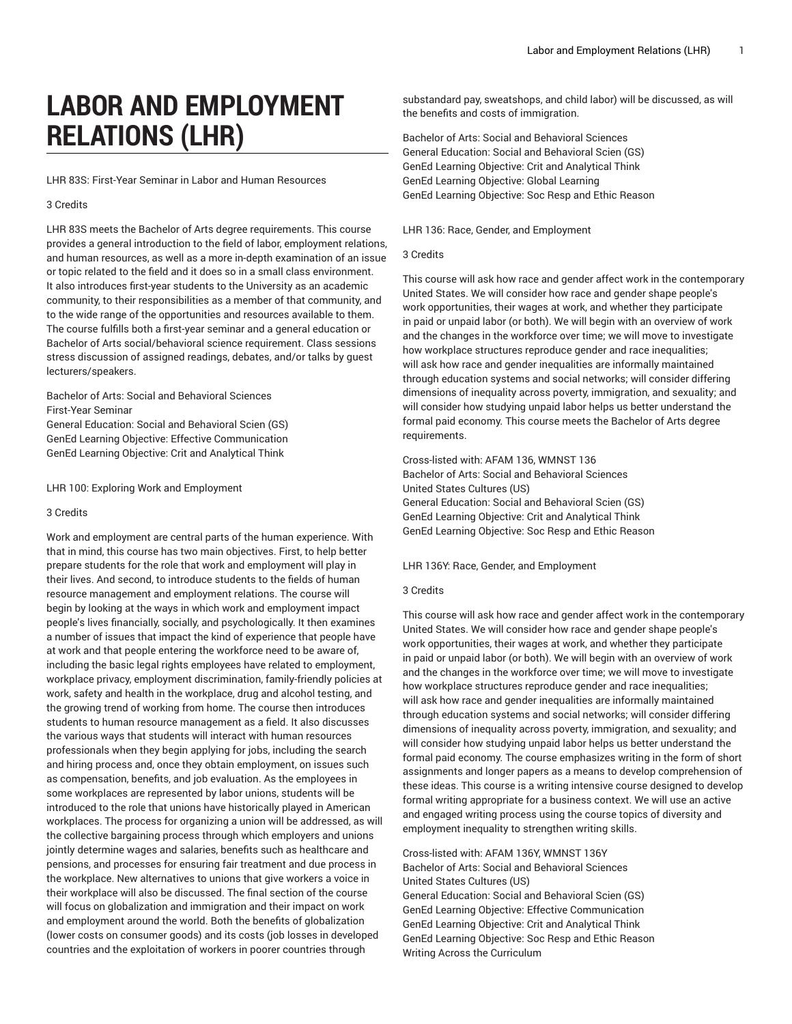# **LABOR AND EMPLOYMENT RELATIONS (LHR)**

LHR 83S: First-Year Seminar in Labor and Human Resources

## 3 Credits

LHR 83S meets the Bachelor of Arts degree requirements. This course provides a general introduction to the field of labor, employment relations, and human resources, as well as a more in-depth examination of an issue or topic related to the field and it does so in a small class environment. It also introduces first-year students to the University as an academic community, to their responsibilities as a member of that community, and to the wide range of the opportunities and resources available to them. The course fulfills both a first-year seminar and a general education or Bachelor of Arts social/behavioral science requirement. Class sessions stress discussion of assigned readings, debates, and/or talks by guest lecturers/speakers.

# Bachelor of Arts: Social and Behavioral Sciences First-Year Seminar

General Education: Social and Behavioral Scien (GS) GenEd Learning Objective: Effective Communication GenEd Learning Objective: Crit and Analytical Think

LHR 100: Exploring Work and Employment

# 3 Credits

Work and employment are central parts of the human experience. With that in mind, this course has two main objectives. First, to help better prepare students for the role that work and employment will play in their lives. And second, to introduce students to the fields of human resource management and employment relations. The course will begin by looking at the ways in which work and employment impact people's lives financially, socially, and psychologically. It then examines a number of issues that impact the kind of experience that people have at work and that people entering the workforce need to be aware of, including the basic legal rights employees have related to employment, workplace privacy, employment discrimination, family-friendly policies at work, safety and health in the workplace, drug and alcohol testing, and the growing trend of working from home. The course then introduces students to human resource management as a field. It also discusses the various ways that students will interact with human resources professionals when they begin applying for jobs, including the search and hiring process and, once they obtain employment, on issues such as compensation, benefits, and job evaluation. As the employees in some workplaces are represented by labor unions, students will be introduced to the role that unions have historically played in American workplaces. The process for organizing a union will be addressed, as will the collective bargaining process through which employers and unions jointly determine wages and salaries, benefits such as healthcare and pensions, and processes for ensuring fair treatment and due process in the workplace. New alternatives to unions that give workers a voice in their workplace will also be discussed. The final section of the course will focus on globalization and immigration and their impact on work and employment around the world. Both the benefits of globalization (lower costs on consumer goods) and its costs (job losses in developed countries and the exploitation of workers in poorer countries through

substandard pay, sweatshops, and child labor) will be discussed, as will the benefits and costs of immigration.

Bachelor of Arts: Social and Behavioral Sciences General Education: Social and Behavioral Scien (GS) GenEd Learning Objective: Crit and Analytical Think GenEd Learning Objective: Global Learning GenEd Learning Objective: Soc Resp and Ethic Reason

## LHR 136: Race, Gender, and Employment

## 3 Credits

This course will ask how race and gender affect work in the contemporary United States. We will consider how race and gender shape people's work opportunities, their wages at work, and whether they participate in paid or unpaid labor (or both). We will begin with an overview of work and the changes in the workforce over time; we will move to investigate how workplace structures reproduce gender and race inequalities; will ask how race and gender inequalities are informally maintained through education systems and social networks; will consider differing dimensions of inequality across poverty, immigration, and sexuality; and will consider how studying unpaid labor helps us better understand the formal paid economy. This course meets the Bachelor of Arts degree requirements.

Cross-listed with: AFAM 136, WMNST 136 Bachelor of Arts: Social and Behavioral Sciences United States Cultures (US) General Education: Social and Behavioral Scien (GS) GenEd Learning Objective: Crit and Analytical Think GenEd Learning Objective: Soc Resp and Ethic Reason

## LHR 136Y: Race, Gender, and Employment

#### 3 Credits

This course will ask how race and gender affect work in the contemporary United States. We will consider how race and gender shape people's work opportunities, their wages at work, and whether they participate in paid or unpaid labor (or both). We will begin with an overview of work and the changes in the workforce over time; we will move to investigate how workplace structures reproduce gender and race inequalities; will ask how race and gender inequalities are informally maintained through education systems and social networks; will consider differing dimensions of inequality across poverty, immigration, and sexuality; and will consider how studying unpaid labor helps us better understand the formal paid economy. The course emphasizes writing in the form of short assignments and longer papers as a means to develop comprehension of these ideas. This course is a writing intensive course designed to develop formal writing appropriate for a business context. We will use an active and engaged writing process using the course topics of diversity and employment inequality to strengthen writing skills.

Cross-listed with: AFAM 136Y, WMNST 136Y Bachelor of Arts: Social and Behavioral Sciences United States Cultures (US) General Education: Social and Behavioral Scien (GS) GenEd Learning Objective: Effective Communication GenEd Learning Objective: Crit and Analytical Think GenEd Learning Objective: Soc Resp and Ethic Reason Writing Across the Curriculum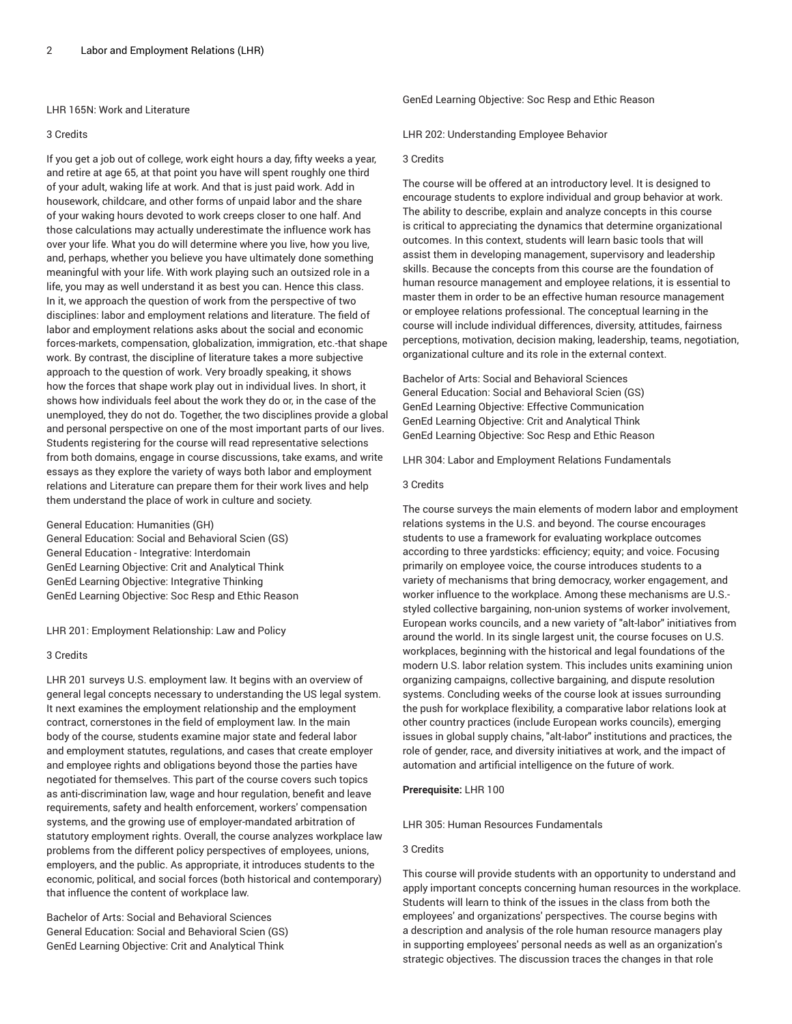## LHR 165N: Work and Literature

### 3 Credits

If you get a job out of college, work eight hours a day, fifty weeks a year, and retire at age 65, at that point you have will spent roughly one third of your adult, waking life at work. And that is just paid work. Add in housework, childcare, and other forms of unpaid labor and the share of your waking hours devoted to work creeps closer to one half. And those calculations may actually underestimate the influence work has over your life. What you do will determine where you live, how you live, and, perhaps, whether you believe you have ultimately done something meaningful with your life. With work playing such an outsized role in a life, you may as well understand it as best you can. Hence this class. In it, we approach the question of work from the perspective of two disciplines: labor and employment relations and literature. The field of labor and employment relations asks about the social and economic forces-markets, compensation, globalization, immigration, etc.-that shape work. By contrast, the discipline of literature takes a more subjective approach to the question of work. Very broadly speaking, it shows how the forces that shape work play out in individual lives. In short, it shows how individuals feel about the work they do or, in the case of the unemployed, they do not do. Together, the two disciplines provide a global and personal perspective on one of the most important parts of our lives. Students registering for the course will read representative selections from both domains, engage in course discussions, take exams, and write essays as they explore the variety of ways both labor and employment relations and Literature can prepare them for their work lives and help them understand the place of work in culture and society.

General Education: Humanities (GH) General Education: Social and Behavioral Scien (GS) General Education - Integrative: Interdomain GenEd Learning Objective: Crit and Analytical Think GenEd Learning Objective: Integrative Thinking GenEd Learning Objective: Soc Resp and Ethic Reason

LHR 201: Employment Relationship: Law and Policy

#### 3 Credits

LHR 201 surveys U.S. employment law. It begins with an overview of general legal concepts necessary to understanding the US legal system. It next examines the employment relationship and the employment contract, cornerstones in the field of employment law. In the main body of the course, students examine major state and federal labor and employment statutes, regulations, and cases that create employer and employee rights and obligations beyond those the parties have negotiated for themselves. This part of the course covers such topics as anti-discrimination law, wage and hour regulation, benefit and leave requirements, safety and health enforcement, workers' compensation systems, and the growing use of employer-mandated arbitration of statutory employment rights. Overall, the course analyzes workplace law problems from the different policy perspectives of employees, unions, employers, and the public. As appropriate, it introduces students to the economic, political, and social forces (both historical and contemporary) that influence the content of workplace law.

Bachelor of Arts: Social and Behavioral Sciences General Education: Social and Behavioral Scien (GS) GenEd Learning Objective: Crit and Analytical Think

GenEd Learning Objective: Soc Resp and Ethic Reason

LHR 202: Understanding Employee Behavior

## 3 Credits

The course will be offered at an introductory level. It is designed to encourage students to explore individual and group behavior at work. The ability to describe, explain and analyze concepts in this course is critical to appreciating the dynamics that determine organizational outcomes. In this context, students will learn basic tools that will assist them in developing management, supervisory and leadership skills. Because the concepts from this course are the foundation of human resource management and employee relations, it is essential to master them in order to be an effective human resource management or employee relations professional. The conceptual learning in the course will include individual differences, diversity, attitudes, fairness perceptions, motivation, decision making, leadership, teams, negotiation, organizational culture and its role in the external context.

Bachelor of Arts: Social and Behavioral Sciences General Education: Social and Behavioral Scien (GS) GenEd Learning Objective: Effective Communication GenEd Learning Objective: Crit and Analytical Think GenEd Learning Objective: Soc Resp and Ethic Reason

LHR 304: Labor and Employment Relations Fundamentals

#### 3 Credits

The course surveys the main elements of modern labor and employment relations systems in the U.S. and beyond. The course encourages students to use a framework for evaluating workplace outcomes according to three yardsticks: efficiency; equity; and voice. Focusing primarily on employee voice, the course introduces students to a variety of mechanisms that bring democracy, worker engagement, and worker influence to the workplace. Among these mechanisms are U.S. styled collective bargaining, non-union systems of worker involvement, European works councils, and a new variety of "alt-labor" initiatives from around the world. In its single largest unit, the course focuses on U.S. workplaces, beginning with the historical and legal foundations of the modern U.S. labor relation system. This includes units examining union organizing campaigns, collective bargaining, and dispute resolution systems. Concluding weeks of the course look at issues surrounding the push for workplace flexibility, a comparative labor relations look at other country practices (include European works councils), emerging issues in global supply chains, "alt-labor" institutions and practices, the role of gender, race, and diversity initiatives at work, and the impact of automation and artificial intelligence on the future of work.

## **Prerequisite:** LHR 100

LHR 305: Human Resources Fundamentals

## 3 Credits

This course will provide students with an opportunity to understand and apply important concepts concerning human resources in the workplace. Students will learn to think of the issues in the class from both the employees' and organizations' perspectives. The course begins with a description and analysis of the role human resource managers play in supporting employees' personal needs as well as an organization's strategic objectives. The discussion traces the changes in that role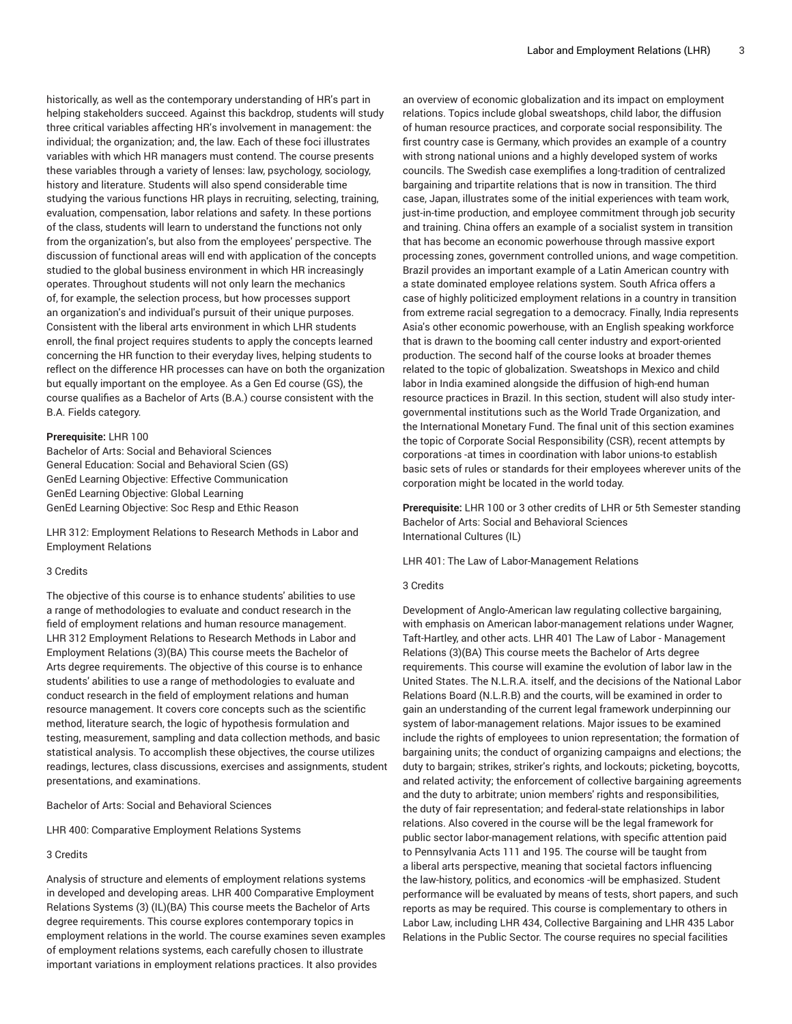historically, as well as the contemporary understanding of HR's part in helping stakeholders succeed. Against this backdrop, students will study three critical variables affecting HR's involvement in management: the individual; the organization; and, the law. Each of these foci illustrates variables with which HR managers must contend. The course presents these variables through a variety of lenses: law, psychology, sociology, history and literature. Students will also spend considerable time studying the various functions HR plays in recruiting, selecting, training, evaluation, compensation, labor relations and safety. In these portions of the class, students will learn to understand the functions not only from the organization's, but also from the employees' perspective. The discussion of functional areas will end with application of the concepts studied to the global business environment in which HR increasingly operates. Throughout students will not only learn the mechanics of, for example, the selection process, but how processes support an organization's and individual's pursuit of their unique purposes. Consistent with the liberal arts environment in which LHR students enroll, the final project requires students to apply the concepts learned concerning the HR function to their everyday lives, helping students to reflect on the difference HR processes can have on both the organization but equally important on the employee. As a Gen Ed course (GS), the course qualifies as a Bachelor of Arts (B.A.) course consistent with the B.A. Fields category.

#### **Prerequisite:** LHR 100

Bachelor of Arts: Social and Behavioral Sciences General Education: Social and Behavioral Scien (GS) GenEd Learning Objective: Effective Communication GenEd Learning Objective: Global Learning GenEd Learning Objective: Soc Resp and Ethic Reason

LHR 312: Employment Relations to Research Methods in Labor and Employment Relations

#### 3 Credits

The objective of this course is to enhance students' abilities to use a range of methodologies to evaluate and conduct research in the field of employment relations and human resource management. LHR 312 Employment Relations to Research Methods in Labor and Employment Relations (3)(BA) This course meets the Bachelor of Arts degree requirements. The objective of this course is to enhance students' abilities to use a range of methodologies to evaluate and conduct research in the field of employment relations and human resource management. It covers core concepts such as the scientific method, literature search, the logic of hypothesis formulation and testing, measurement, sampling and data collection methods, and basic statistical analysis. To accomplish these objectives, the course utilizes readings, lectures, class discussions, exercises and assignments, student presentations, and examinations.

Bachelor of Arts: Social and Behavioral Sciences

LHR 400: Comparative Employment Relations Systems

# 3 Credits

Analysis of structure and elements of employment relations systems in developed and developing areas. LHR 400 Comparative Employment Relations Systems (3) (IL)(BA) This course meets the Bachelor of Arts degree requirements. This course explores contemporary topics in employment relations in the world. The course examines seven examples of employment relations systems, each carefully chosen to illustrate important variations in employment relations practices. It also provides

an overview of economic globalization and its impact on employment relations. Topics include global sweatshops, child labor, the diffusion of human resource practices, and corporate social responsibility. The first country case is Germany, which provides an example of a country with strong national unions and a highly developed system of works councils. The Swedish case exemplifies a long-tradition of centralized bargaining and tripartite relations that is now in transition. The third case, Japan, illustrates some of the initial experiences with team work, just-in-time production, and employee commitment through job security and training. China offers an example of a socialist system in transition that has become an economic powerhouse through massive export processing zones, government controlled unions, and wage competition. Brazil provides an important example of a Latin American country with a state dominated employee relations system. South Africa offers a case of highly politicized employment relations in a country in transition from extreme racial segregation to a democracy. Finally, India represents Asia's other economic powerhouse, with an English speaking workforce that is drawn to the booming call center industry and export-oriented production. The second half of the course looks at broader themes related to the topic of globalization. Sweatshops in Mexico and child labor in India examined alongside the diffusion of high-end human resource practices in Brazil. In this section, student will also study intergovernmental institutions such as the World Trade Organization, and the International Monetary Fund. The final unit of this section examines the topic of Corporate Social Responsibility (CSR), recent attempts by corporations -at times in coordination with labor unions-to establish basic sets of rules or standards for their employees wherever units of the corporation might be located in the world today.

**Prerequisite:** LHR 100 or 3 other credits of LHR or 5th Semester standing Bachelor of Arts: Social and Behavioral Sciences International Cultures (IL)

LHR 401: The Law of Labor-Management Relations

#### 3 Credits

Development of Anglo-American law regulating collective bargaining, with emphasis on American labor-management relations under Wagner, Taft-Hartley, and other acts. LHR 401 The Law of Labor - Management Relations (3)(BA) This course meets the Bachelor of Arts degree requirements. This course will examine the evolution of labor law in the United States. The N.L.R.A. itself, and the decisions of the National Labor Relations Board (N.L.R.B) and the courts, will be examined in order to gain an understanding of the current legal framework underpinning our system of labor-management relations. Major issues to be examined include the rights of employees to union representation; the formation of bargaining units; the conduct of organizing campaigns and elections; the duty to bargain; strikes, striker's rights, and lockouts; picketing, boycotts, and related activity; the enforcement of collective bargaining agreements and the duty to arbitrate; union members' rights and responsibilities, the duty of fair representation; and federal-state relationships in labor relations. Also covered in the course will be the legal framework for public sector labor-management relations, with specific attention paid to Pennsylvania Acts 111 and 195. The course will be taught from a liberal arts perspective, meaning that societal factors influencing the law-history, politics, and economics -will be emphasized. Student performance will be evaluated by means of tests, short papers, and such reports as may be required. This course is complementary to others in Labor Law, including LHR 434, Collective Bargaining and LHR 435 Labor Relations in the Public Sector. The course requires no special facilities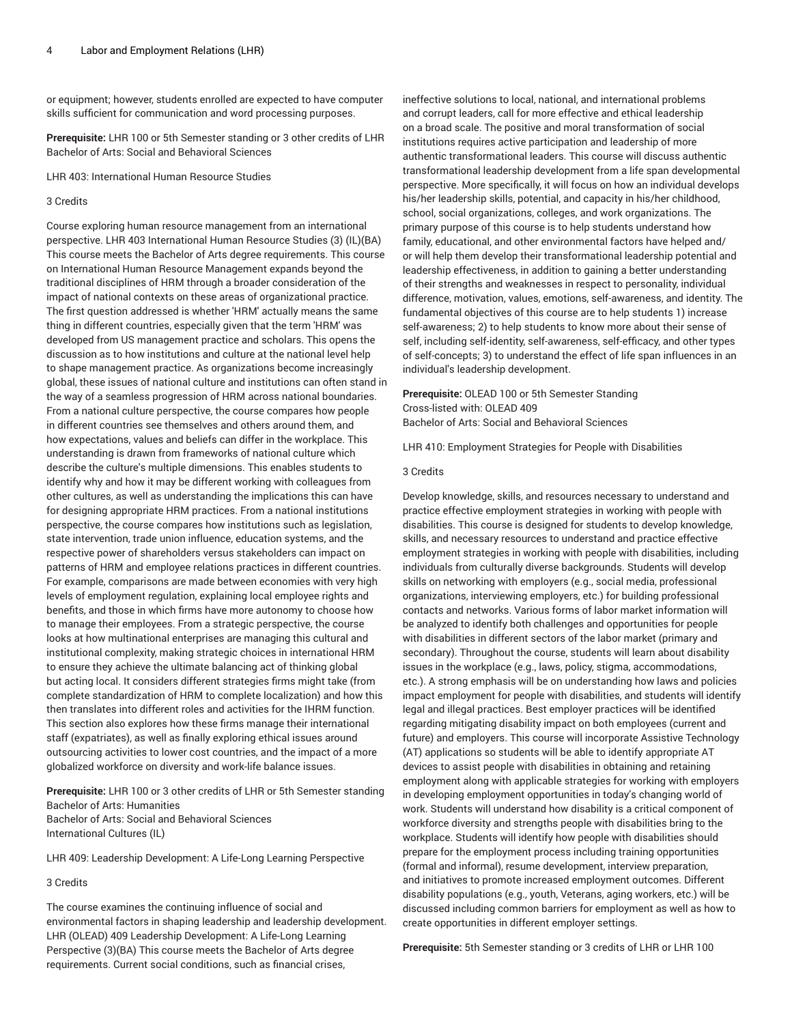or equipment; however, students enrolled are expected to have computer skills sufficient for communication and word processing purposes.

**Prerequisite:** LHR 100 or 5th Semester standing or 3 other credits of LHR Bachelor of Arts: Social and Behavioral Sciences

LHR 403: International Human Resource Studies

#### 3 Credits

Course exploring human resource management from an international perspective. LHR 403 International Human Resource Studies (3) (IL)(BA) This course meets the Bachelor of Arts degree requirements. This course on International Human Resource Management expands beyond the traditional disciplines of HRM through a broader consideration of the impact of national contexts on these areas of organizational practice. The first question addressed is whether 'HRM' actually means the same thing in different countries, especially given that the term 'HRM' was developed from US management practice and scholars. This opens the discussion as to how institutions and culture at the national level help to shape management practice. As organizations become increasingly global, these issues of national culture and institutions can often stand in the way of a seamless progression of HRM across national boundaries. From a national culture perspective, the course compares how people in different countries see themselves and others around them, and how expectations, values and beliefs can differ in the workplace. This understanding is drawn from frameworks of national culture which describe the culture's multiple dimensions. This enables students to identify why and how it may be different working with colleagues from other cultures, as well as understanding the implications this can have for designing appropriate HRM practices. From a national institutions perspective, the course compares how institutions such as legislation, state intervention, trade union influence, education systems, and the respective power of shareholders versus stakeholders can impact on patterns of HRM and employee relations practices in different countries. For example, comparisons are made between economies with very high levels of employment regulation, explaining local employee rights and benefits, and those in which firms have more autonomy to choose how to manage their employees. From a strategic perspective, the course looks at how multinational enterprises are managing this cultural and institutional complexity, making strategic choices in international HRM to ensure they achieve the ultimate balancing act of thinking global but acting local. It considers different strategies firms might take (from complete standardization of HRM to complete localization) and how this then translates into different roles and activities for the IHRM function. This section also explores how these firms manage their international staff (expatriates), as well as finally exploring ethical issues around outsourcing activities to lower cost countries, and the impact of a more globalized workforce on diversity and work-life balance issues.

**Prerequisite:** LHR 100 or 3 other credits of LHR or 5th Semester standing Bachelor of Arts: Humanities Bachelor of Arts: Social and Behavioral Sciences International Cultures (IL)

LHR 409: Leadership Development: A Life-Long Learning Perspective

# 3 Credits

The course examines the continuing influence of social and environmental factors in shaping leadership and leadership development. LHR (OLEAD) 409 Leadership Development: A Life-Long Learning Perspective (3)(BA) This course meets the Bachelor of Arts degree requirements. Current social conditions, such as financial crises,

ineffective solutions to local, national, and international problems and corrupt leaders, call for more effective and ethical leadership on a broad scale. The positive and moral transformation of social institutions requires active participation and leadership of more authentic transformational leaders. This course will discuss authentic transformational leadership development from a life span developmental perspective. More specifically, it will focus on how an individual develops his/her leadership skills, potential, and capacity in his/her childhood, school, social organizations, colleges, and work organizations. The primary purpose of this course is to help students understand how family, educational, and other environmental factors have helped and/ or will help them develop their transformational leadership potential and leadership effectiveness, in addition to gaining a better understanding of their strengths and weaknesses in respect to personality, individual difference, motivation, values, emotions, self-awareness, and identity. The fundamental objectives of this course are to help students 1) increase self-awareness; 2) to help students to know more about their sense of self, including self-identity, self-awareness, self-efficacy, and other types of self-concepts; 3) to understand the effect of life span influences in an individual's leadership development.

**Prerequisite:** OLEAD 100 or 5th Semester Standing Cross-listed with: OLEAD 409 Bachelor of Arts: Social and Behavioral Sciences

LHR 410: Employment Strategies for People with Disabilities

#### 3 Credits

Develop knowledge, skills, and resources necessary to understand and practice effective employment strategies in working with people with disabilities. This course is designed for students to develop knowledge, skills, and necessary resources to understand and practice effective employment strategies in working with people with disabilities, including individuals from culturally diverse backgrounds. Students will develop skills on networking with employers (e.g., social media, professional organizations, interviewing employers, etc.) for building professional contacts and networks. Various forms of labor market information will be analyzed to identify both challenges and opportunities for people with disabilities in different sectors of the labor market (primary and secondary). Throughout the course, students will learn about disability issues in the workplace (e.g., laws, policy, stigma, accommodations, etc.). A strong emphasis will be on understanding how laws and policies impact employment for people with disabilities, and students will identify legal and illegal practices. Best employer practices will be identified regarding mitigating disability impact on both employees (current and future) and employers. This course will incorporate Assistive Technology (AT) applications so students will be able to identify appropriate AT devices to assist people with disabilities in obtaining and retaining employment along with applicable strategies for working with employers in developing employment opportunities in today's changing world of work. Students will understand how disability is a critical component of workforce diversity and strengths people with disabilities bring to the workplace. Students will identify how people with disabilities should prepare for the employment process including training opportunities (formal and informal), resume development, interview preparation, and initiatives to promote increased employment outcomes. Different disability populations (e.g., youth, Veterans, aging workers, etc.) will be discussed including common barriers for employment as well as how to create opportunities in different employer settings.

**Prerequisite:** 5th Semester standing or 3 credits of LHR or LHR 100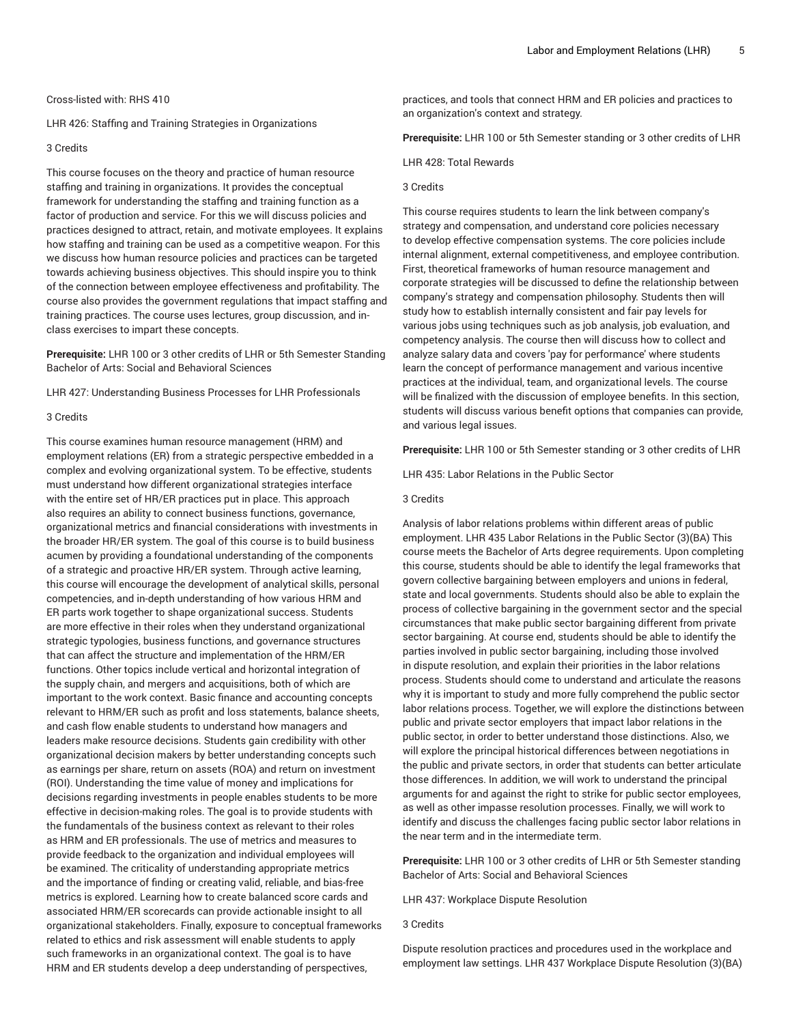LHR 426: Staffing and Training Strategies in Organizations

## 3 Credits

This course focuses on the theory and practice of human resource staffing and training in organizations. It provides the conceptual framework for understanding the staffing and training function as a factor of production and service. For this we will discuss policies and practices designed to attract, retain, and motivate employees. It explains how staffing and training can be used as a competitive weapon. For this we discuss how human resource policies and practices can be targeted towards achieving business objectives. This should inspire you to think of the connection between employee effectiveness and profitability. The course also provides the government regulations that impact staffing and training practices. The course uses lectures, group discussion, and inclass exercises to impart these concepts.

**Prerequisite:** LHR 100 or 3 other credits of LHR or 5th Semester Standing Bachelor of Arts: Social and Behavioral Sciences

LHR 427: Understanding Business Processes for LHR Professionals

#### 3 Credits

This course examines human resource management (HRM) and employment relations (ER) from a strategic perspective embedded in a complex and evolving organizational system. To be effective, students must understand how different organizational strategies interface with the entire set of HR/ER practices put in place. This approach also requires an ability to connect business functions, governance, organizational metrics and financial considerations with investments in the broader HR/ER system. The goal of this course is to build business acumen by providing a foundational understanding of the components of a strategic and proactive HR/ER system. Through active learning, this course will encourage the development of analytical skills, personal competencies, and in-depth understanding of how various HRM and ER parts work together to shape organizational success. Students are more effective in their roles when they understand organizational strategic typologies, business functions, and governance structures that can affect the structure and implementation of the HRM/ER functions. Other topics include vertical and horizontal integration of the supply chain, and mergers and acquisitions, both of which are important to the work context. Basic finance and accounting concepts relevant to HRM/ER such as profit and loss statements, balance sheets, and cash flow enable students to understand how managers and leaders make resource decisions. Students gain credibility with other organizational decision makers by better understanding concepts such as earnings per share, return on assets (ROA) and return on investment (ROI). Understanding the time value of money and implications for decisions regarding investments in people enables students to be more effective in decision-making roles. The goal is to provide students with the fundamentals of the business context as relevant to their roles as HRM and ER professionals. The use of metrics and measures to provide feedback to the organization and individual employees will be examined. The criticality of understanding appropriate metrics and the importance of finding or creating valid, reliable, and bias-free metrics is explored. Learning how to create balanced score cards and associated HRM/ER scorecards can provide actionable insight to all organizational stakeholders. Finally, exposure to conceptual frameworks related to ethics and risk assessment will enable students to apply such frameworks in an organizational context. The goal is to have HRM and ER students develop a deep understanding of perspectives,

practices, and tools that connect HRM and ER policies and practices to an organization's context and strategy.

**Prerequisite:** LHR 100 or 5th Semester standing or 3 other credits of LHR

LHR 428: Total Rewards

## 3 Credits

This course requires students to learn the link between company's strategy and compensation, and understand core policies necessary to develop effective compensation systems. The core policies include internal alignment, external competitiveness, and employee contribution. First, theoretical frameworks of human resource management and corporate strategies will be discussed to define the relationship between company's strategy and compensation philosophy. Students then will study how to establish internally consistent and fair pay levels for various jobs using techniques such as job analysis, job evaluation, and competency analysis. The course then will discuss how to collect and analyze salary data and covers 'pay for performance' where students learn the concept of performance management and various incentive practices at the individual, team, and organizational levels. The course will be finalized with the discussion of employee benefits. In this section, students will discuss various benefit options that companies can provide, and various legal issues.

**Prerequisite:** LHR 100 or 5th Semester standing or 3 other credits of LHR

LHR 435: Labor Relations in the Public Sector

# 3 Credits

Analysis of labor relations problems within different areas of public employment. LHR 435 Labor Relations in the Public Sector (3)(BA) This course meets the Bachelor of Arts degree requirements. Upon completing this course, students should be able to identify the legal frameworks that govern collective bargaining between employers and unions in federal, state and local governments. Students should also be able to explain the process of collective bargaining in the government sector and the special circumstances that make public sector bargaining different from private sector bargaining. At course end, students should be able to identify the parties involved in public sector bargaining, including those involved in dispute resolution, and explain their priorities in the labor relations process. Students should come to understand and articulate the reasons why it is important to study and more fully comprehend the public sector labor relations process. Together, we will explore the distinctions between public and private sector employers that impact labor relations in the public sector, in order to better understand those distinctions. Also, we will explore the principal historical differences between negotiations in the public and private sectors, in order that students can better articulate those differences. In addition, we will work to understand the principal arguments for and against the right to strike for public sector employees, as well as other impasse resolution processes. Finally, we will work to identify and discuss the challenges facing public sector labor relations in the near term and in the intermediate term.

**Prerequisite:** LHR 100 or 3 other credits of LHR or 5th Semester standing Bachelor of Arts: Social and Behavioral Sciences

LHR 437: Workplace Dispute Resolution

#### 3 Credits

Dispute resolution practices and procedures used in the workplace and employment law settings. LHR 437 Workplace Dispute Resolution (3)(BA)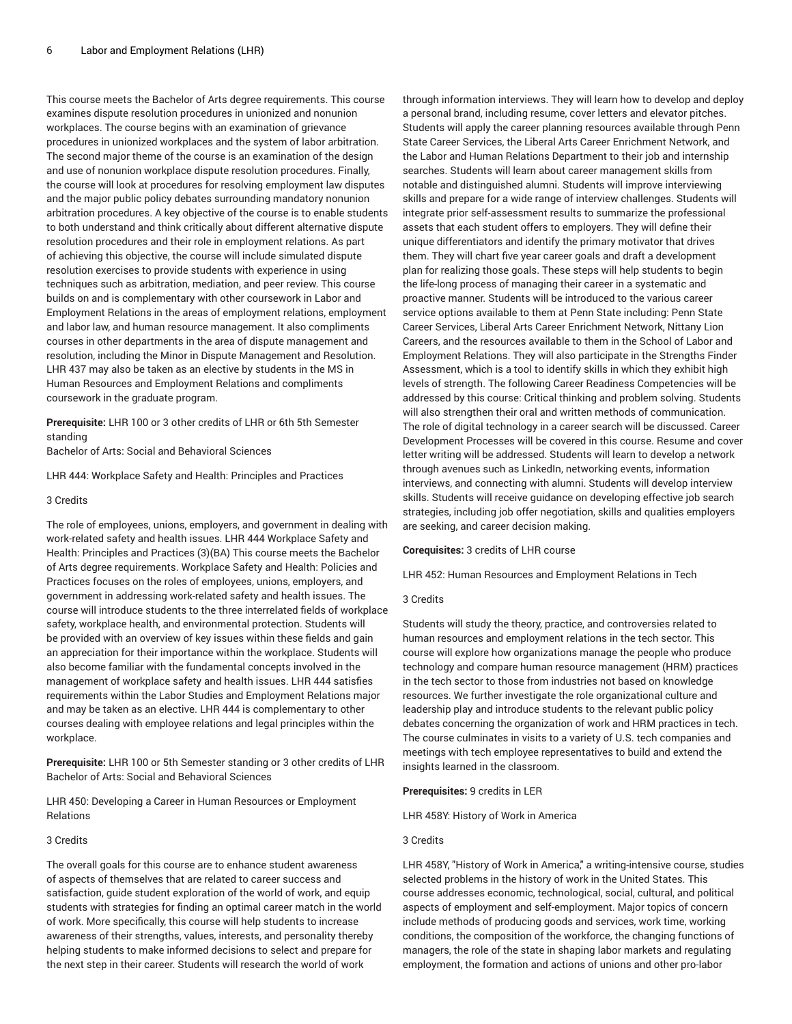This course meets the Bachelor of Arts degree requirements. This course examines dispute resolution procedures in unionized and nonunion workplaces. The course begins with an examination of grievance procedures in unionized workplaces and the system of labor arbitration. The second major theme of the course is an examination of the design and use of nonunion workplace dispute resolution procedures. Finally, the course will look at procedures for resolving employment law disputes and the major public policy debates surrounding mandatory nonunion arbitration procedures. A key objective of the course is to enable students to both understand and think critically about different alternative dispute resolution procedures and their role in employment relations. As part of achieving this objective, the course will include simulated dispute resolution exercises to provide students with experience in using techniques such as arbitration, mediation, and peer review. This course builds on and is complementary with other coursework in Labor and Employment Relations in the areas of employment relations, employment and labor law, and human resource management. It also compliments courses in other departments in the area of dispute management and resolution, including the Minor in Dispute Management and Resolution. LHR 437 may also be taken as an elective by students in the MS in Human Resources and Employment Relations and compliments coursework in the graduate program.

**Prerequisite:** LHR 100 or 3 other credits of LHR or 6th 5th Semester standing

Bachelor of Arts: Social and Behavioral Sciences

LHR 444: Workplace Safety and Health: Principles and Practices

#### 3 Credits

The role of employees, unions, employers, and government in dealing with work-related safety and health issues. LHR 444 Workplace Safety and Health: Principles and Practices (3)(BA) This course meets the Bachelor of Arts degree requirements. Workplace Safety and Health: Policies and Practices focuses on the roles of employees, unions, employers, and government in addressing work-related safety and health issues. The course will introduce students to the three interrelated fields of workplace safety, workplace health, and environmental protection. Students will be provided with an overview of key issues within these fields and gain an appreciation for their importance within the workplace. Students will also become familiar with the fundamental concepts involved in the management of workplace safety and health issues. LHR 444 satisfies requirements within the Labor Studies and Employment Relations major and may be taken as an elective. LHR 444 is complementary to other courses dealing with employee relations and legal principles within the workplace.

**Prerequisite:** LHR 100 or 5th Semester standing or 3 other credits of LHR Bachelor of Arts: Social and Behavioral Sciences

LHR 450: Developing a Career in Human Resources or Employment Relations

#### 3 Credits

The overall goals for this course are to enhance student awareness of aspects of themselves that are related to career success and satisfaction, guide student exploration of the world of work, and equip students with strategies for finding an optimal career match in the world of work. More specifically, this course will help students to increase awareness of their strengths, values, interests, and personality thereby helping students to make informed decisions to select and prepare for the next step in their career. Students will research the world of work

through information interviews. They will learn how to develop and deploy a personal brand, including resume, cover letters and elevator pitches. Students will apply the career planning resources available through Penn State Career Services, the Liberal Arts Career Enrichment Network, and the Labor and Human Relations Department to their job and internship searches. Students will learn about career management skills from notable and distinguished alumni. Students will improve interviewing skills and prepare for a wide range of interview challenges. Students will integrate prior self-assessment results to summarize the professional assets that each student offers to employers. They will define their unique differentiators and identify the primary motivator that drives them. They will chart five year career goals and draft a development plan for realizing those goals. These steps will help students to begin the life-long process of managing their career in a systematic and proactive manner. Students will be introduced to the various career service options available to them at Penn State including: Penn State Career Services, Liberal Arts Career Enrichment Network, Nittany Lion Careers, and the resources available to them in the School of Labor and Employment Relations. They will also participate in the Strengths Finder Assessment, which is a tool to identify skills in which they exhibit high levels of strength. The following Career Readiness Competencies will be addressed by this course: Critical thinking and problem solving. Students will also strengthen their oral and written methods of communication. The role of digital technology in a career search will be discussed. Career Development Processes will be covered in this course. Resume and cover letter writing will be addressed. Students will learn to develop a network through avenues such as LinkedIn, networking events, information interviews, and connecting with alumni. Students will develop interview skills. Students will receive guidance on developing effective job search strategies, including job offer negotiation, skills and qualities employers are seeking, and career decision making.

## **Corequisites:** 3 credits of LHR course

LHR 452: Human Resources and Employment Relations in Tech

#### 3 Credits

Students will study the theory, practice, and controversies related to human resources and employment relations in the tech sector. This course will explore how organizations manage the people who produce technology and compare human resource management (HRM) practices in the tech sector to those from industries not based on knowledge resources. We further investigate the role organizational culture and leadership play and introduce students to the relevant public policy debates concerning the organization of work and HRM practices in tech. The course culminates in visits to a variety of U.S. tech companies and meetings with tech employee representatives to build and extend the insights learned in the classroom.

**Prerequisites:** 9 credits in LER

LHR 458Y: History of Work in America

## 3 Credits

LHR 458Y, "History of Work in America," a writing-intensive course, studies selected problems in the history of work in the United States. This course addresses economic, technological, social, cultural, and political aspects of employment and self-employment. Major topics of concern include methods of producing goods and services, work time, working conditions, the composition of the workforce, the changing functions of managers, the role of the state in shaping labor markets and regulating employment, the formation and actions of unions and other pro-labor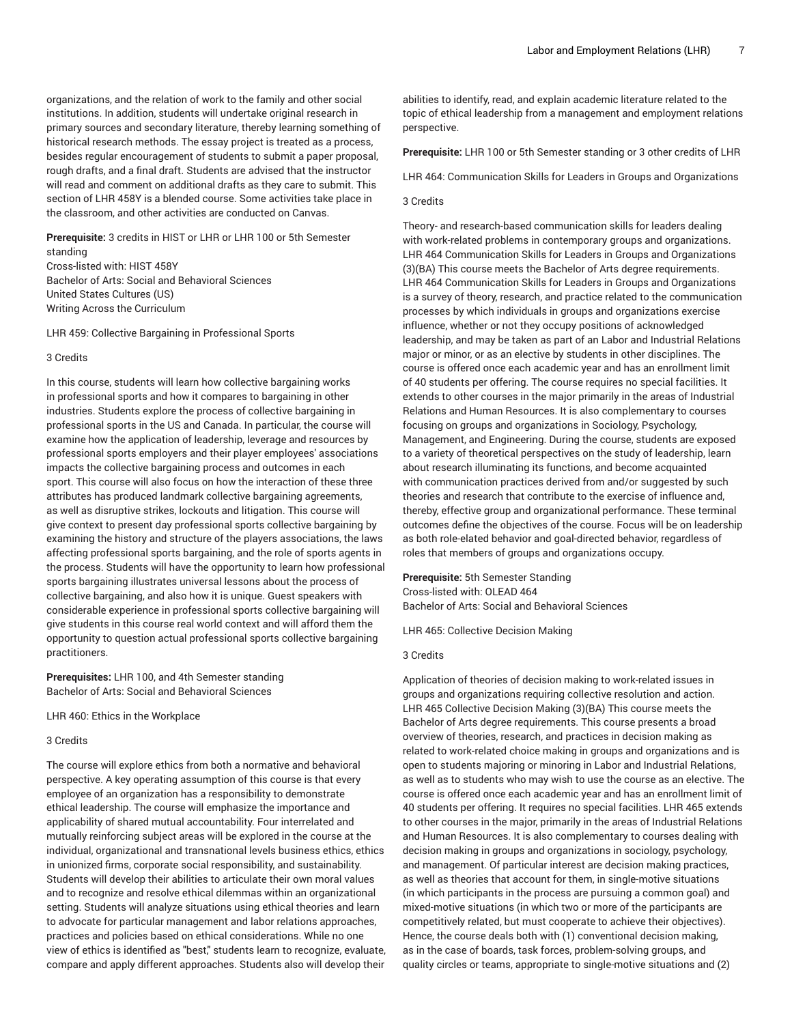organizations, and the relation of work to the family and other social institutions. In addition, students will undertake original research in primary sources and secondary literature, thereby learning something of historical research methods. The essay project is treated as a process, besides regular encouragement of students to submit a paper proposal, rough drafts, and a final draft. Students are advised that the instructor will read and comment on additional drafts as they care to submit. This section of LHR 458Y is a blended course. Some activities take place in the classroom, and other activities are conducted on Canvas.

**Prerequisite:** 3 credits in HIST or LHR or LHR 100 or 5th Semester

standing Cross-listed with: HIST 458Y Bachelor of Arts: Social and Behavioral Sciences United States Cultures (US) Writing Across the Curriculum

LHR 459: Collective Bargaining in Professional Sports

#### 3 Credits

In this course, students will learn how collective bargaining works in professional sports and how it compares to bargaining in other industries. Students explore the process of collective bargaining in professional sports in the US and Canada. In particular, the course will examine how the application of leadership, leverage and resources by professional sports employers and their player employees' associations impacts the collective bargaining process and outcomes in each sport. This course will also focus on how the interaction of these three attributes has produced landmark collective bargaining agreements, as well as disruptive strikes, lockouts and litigation. This course will give context to present day professional sports collective bargaining by examining the history and structure of the players associations, the laws affecting professional sports bargaining, and the role of sports agents in the process. Students will have the opportunity to learn how professional sports bargaining illustrates universal lessons about the process of collective bargaining, and also how it is unique. Guest speakers with considerable experience in professional sports collective bargaining will give students in this course real world context and will afford them the opportunity to question actual professional sports collective bargaining practitioners.

**Prerequisites:** LHR 100, and 4th Semester standing Bachelor of Arts: Social and Behavioral Sciences

LHR 460: Ethics in the Workplace

## 3 Credits

The course will explore ethics from both a normative and behavioral perspective. A key operating assumption of this course is that every employee of an organization has a responsibility to demonstrate ethical leadership. The course will emphasize the importance and applicability of shared mutual accountability. Four interrelated and mutually reinforcing subject areas will be explored in the course at the individual, organizational and transnational levels business ethics, ethics in unionized firms, corporate social responsibility, and sustainability. Students will develop their abilities to articulate their own moral values and to recognize and resolve ethical dilemmas within an organizational setting. Students will analyze situations using ethical theories and learn to advocate for particular management and labor relations approaches, practices and policies based on ethical considerations. While no one view of ethics is identified as "best," students learn to recognize, evaluate, compare and apply different approaches. Students also will develop their

abilities to identify, read, and explain academic literature related to the topic of ethical leadership from a management and employment relations perspective.

**Prerequisite:** LHR 100 or 5th Semester standing or 3 other credits of LHR

LHR 464: Communication Skills for Leaders in Groups and Organizations

## 3 Credits

Theory- and research-based communication skills for leaders dealing with work-related problems in contemporary groups and organizations. LHR 464 Communication Skills for Leaders in Groups and Organizations (3)(BA) This course meets the Bachelor of Arts degree requirements. LHR 464 Communication Skills for Leaders in Groups and Organizations is a survey of theory, research, and practice related to the communication processes by which individuals in groups and organizations exercise influence, whether or not they occupy positions of acknowledged leadership, and may be taken as part of an Labor and Industrial Relations major or minor, or as an elective by students in other disciplines. The course is offered once each academic year and has an enrollment limit of 40 students per offering. The course requires no special facilities. It extends to other courses in the major primarily in the areas of Industrial Relations and Human Resources. It is also complementary to courses focusing on groups and organizations in Sociology, Psychology, Management, and Engineering. During the course, students are exposed to a variety of theoretical perspectives on the study of leadership, learn about research illuminating its functions, and become acquainted with communication practices derived from and/or suggested by such theories and research that contribute to the exercise of influence and, thereby, effective group and organizational performance. These terminal outcomes define the objectives of the course. Focus will be on leadership as both role-elated behavior and goal-directed behavior, regardless of roles that members of groups and organizations occupy.

**Prerequisite:** 5th Semester Standing Cross-listed with: OLEAD 464 Bachelor of Arts: Social and Behavioral Sciences

LHR 465: Collective Decision Making

#### 3 Credits

Application of theories of decision making to work-related issues in groups and organizations requiring collective resolution and action. LHR 465 Collective Decision Making (3)(BA) This course meets the Bachelor of Arts degree requirements. This course presents a broad overview of theories, research, and practices in decision making as related to work-related choice making in groups and organizations and is open to students majoring or minoring in Labor and Industrial Relations, as well as to students who may wish to use the course as an elective. The course is offered once each academic year and has an enrollment limit of 40 students per offering. It requires no special facilities. LHR 465 extends to other courses in the major, primarily in the areas of Industrial Relations and Human Resources. It is also complementary to courses dealing with decision making in groups and organizations in sociology, psychology, and management. Of particular interest are decision making practices, as well as theories that account for them, in single-motive situations (in which participants in the process are pursuing a common goal) and mixed-motive situations (in which two or more of the participants are competitively related, but must cooperate to achieve their objectives). Hence, the course deals both with (1) conventional decision making, as in the case of boards, task forces, problem-solving groups, and quality circles or teams, appropriate to single-motive situations and (2)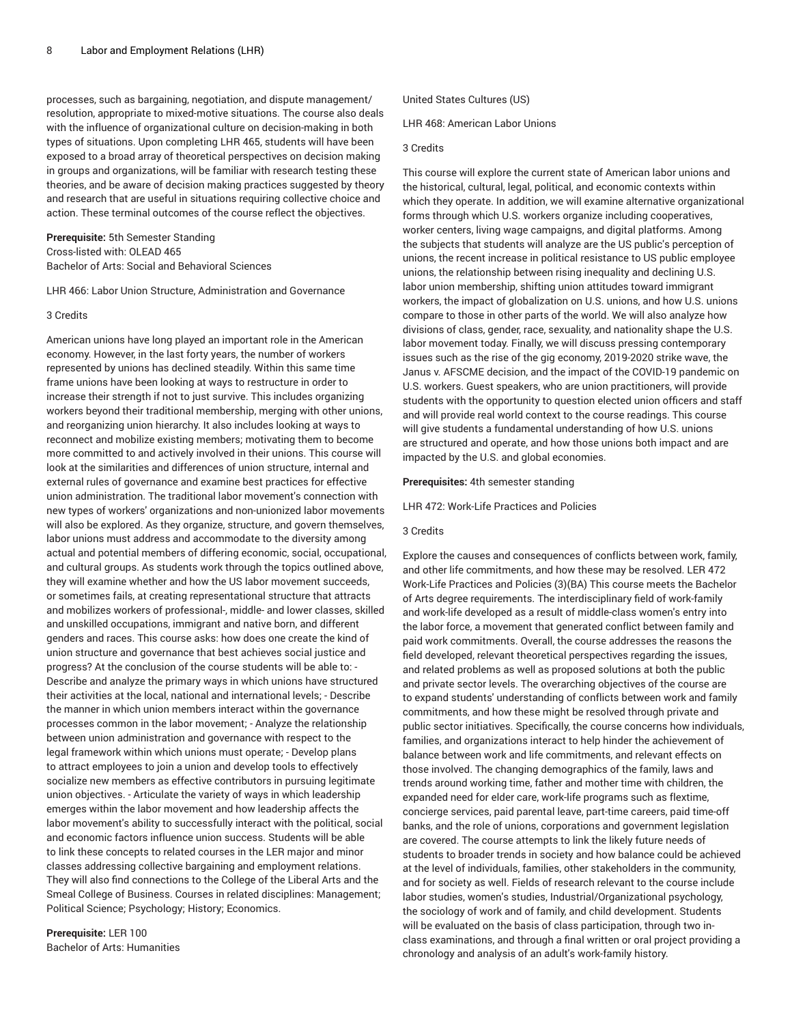processes, such as bargaining, negotiation, and dispute management/ resolution, appropriate to mixed-motive situations. The course also deals with the influence of organizational culture on decision-making in both types of situations. Upon completing LHR 465, students will have been exposed to a broad array of theoretical perspectives on decision making in groups and organizations, will be familiar with research testing these theories, and be aware of decision making practices suggested by theory and research that are useful in situations requiring collective choice and action. These terminal outcomes of the course reflect the objectives.

# **Prerequisite:** 5th Semester Standing Cross-listed with: OLEAD 465 Bachelor of Arts: Social and Behavioral Sciences

LHR 466: Labor Union Structure, Administration and Governance

#### 3 Credits

American unions have long played an important role in the American economy. However, in the last forty years, the number of workers represented by unions has declined steadily. Within this same time frame unions have been looking at ways to restructure in order to increase their strength if not to just survive. This includes organizing workers beyond their traditional membership, merging with other unions, and reorganizing union hierarchy. It also includes looking at ways to reconnect and mobilize existing members; motivating them to become more committed to and actively involved in their unions. This course will look at the similarities and differences of union structure, internal and external rules of governance and examine best practices for effective union administration. The traditional labor movement's connection with new types of workers' organizations and non-unionized labor movements will also be explored. As they organize, structure, and govern themselves, labor unions must address and accommodate to the diversity among actual and potential members of differing economic, social, occupational, and cultural groups. As students work through the topics outlined above, they will examine whether and how the US labor movement succeeds, or sometimes fails, at creating representational structure that attracts and mobilizes workers of professional-, middle- and lower classes, skilled and unskilled occupations, immigrant and native born, and different genders and races. This course asks: how does one create the kind of union structure and governance that best achieves social justice and progress? At the conclusion of the course students will be able to: - Describe and analyze the primary ways in which unions have structured their activities at the local, national and international levels; - Describe the manner in which union members interact within the governance processes common in the labor movement; - Analyze the relationship between union administration and governance with respect to the legal framework within which unions must operate; - Develop plans to attract employees to join a union and develop tools to effectively socialize new members as effective contributors in pursuing legitimate union objectives. - Articulate the variety of ways in which leadership emerges within the labor movement and how leadership affects the labor movement's ability to successfully interact with the political, social and economic factors influence union success. Students will be able to link these concepts to related courses in the LER major and minor classes addressing collective bargaining and employment relations. They will also find connections to the College of the Liberal Arts and the Smeal College of Business. Courses in related disciplines: Management; Political Science; Psychology; History; Economics.

**Prerequisite:** LER 100 Bachelor of Arts: Humanities United States Cultures (US)

LHR 468: American Labor Unions

# 3 Credits

This course will explore the current state of American labor unions and the historical, cultural, legal, political, and economic contexts within which they operate. In addition, we will examine alternative organizational forms through which U.S. workers organize including cooperatives, worker centers, living wage campaigns, and digital platforms. Among the subjects that students will analyze are the US public's perception of unions, the recent increase in political resistance to US public employee unions, the relationship between rising inequality and declining U.S. labor union membership, shifting union attitudes toward immigrant workers, the impact of globalization on U.S. unions, and how U.S. unions compare to those in other parts of the world. We will also analyze how divisions of class, gender, race, sexuality, and nationality shape the U.S. labor movement today. Finally, we will discuss pressing contemporary issues such as the rise of the gig economy, 2019-2020 strike wave, the Janus v. AFSCME decision, and the impact of the COVID-19 pandemic on U.S. workers. Guest speakers, who are union practitioners, will provide students with the opportunity to question elected union officers and staff and will provide real world context to the course readings. This course will give students a fundamental understanding of how U.S. unions are structured and operate, and how those unions both impact and are impacted by the U.S. and global economies.

## **Prerequisites:** 4th semester standing

LHR 472: Work-Life Practices and Policies

## 3 Credits

Explore the causes and consequences of conflicts between work, family, and other life commitments, and how these may be resolved. LER 472 Work-Life Practices and Policies (3)(BA) This course meets the Bachelor of Arts degree requirements. The interdisciplinary field of work-family and work-life developed as a result of middle-class women's entry into the labor force, a movement that generated conflict between family and paid work commitments. Overall, the course addresses the reasons the field developed, relevant theoretical perspectives regarding the issues, and related problems as well as proposed solutions at both the public and private sector levels. The overarching objectives of the course are to expand students' understanding of conflicts between work and family commitments, and how these might be resolved through private and public sector initiatives. Specifically, the course concerns how individuals, families, and organizations interact to help hinder the achievement of balance between work and life commitments, and relevant effects on those involved. The changing demographics of the family, laws and trends around working time, father and mother time with children, the expanded need for elder care, work-life programs such as flextime, concierge services, paid parental leave, part-time careers, paid time-off banks, and the role of unions, corporations and government legislation are covered. The course attempts to link the likely future needs of students to broader trends in society and how balance could be achieved at the level of individuals, families, other stakeholders in the community, and for society as well. Fields of research relevant to the course include labor studies, women's studies, Industrial/Organizational psychology, the sociology of work and of family, and child development. Students will be evaluated on the basis of class participation, through two inclass examinations, and through a final written or oral project providing a chronology and analysis of an adult's work-family history.